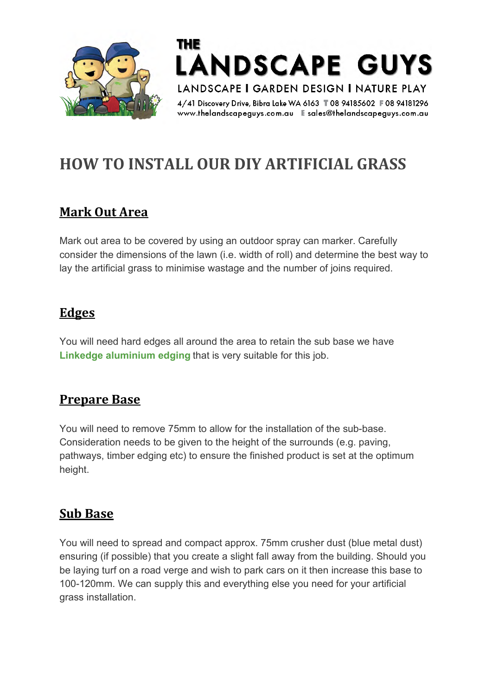

THE **LANDSCAPE GUYS** LANDSCAPE I GARDEN DESIGN I NATURE PLAY

4/41 Discovery Drive, Bibra Lake WA 6163 T08 94185602 F08 94181296 

# **HOW TO INSTALL OUR DIY ARTIFICIAL GRASS**

#### **Mark Out Area**

Mark out area to be covered by using an outdoor spray can marker. Carefully consider the dimensions of the lawn (i.e. width of roll) and determine the best way to lay the artificial grass to minimise wastage and the number of joins required.

#### **Edges**

You will need hard edges all around the area to retain the sub base we have **Linkedge [aluminium](https://www.thelandscapeguys.com.au/garden-edging-perth/) edging** that is very suitable for this job.

#### **Prepare Base**

You will need to remove 75mm to allow for the installation of the sub-base. Consideration needs to be given to the height of the surrounds (e.g. paving, pathways, timber edging etc) to ensure the finished product is set at the optimum height.

#### **Sub Base**

You will need to spread and compact approx. 75mm crusher dust (blue metal dust) ensuring (if possible) that you create a slight fall away from the building. Should you be laying turf on a road verge and wish to park cars on it then increase this base to 100-120mm. We can supply this and everything else you need for your artificial grass installation.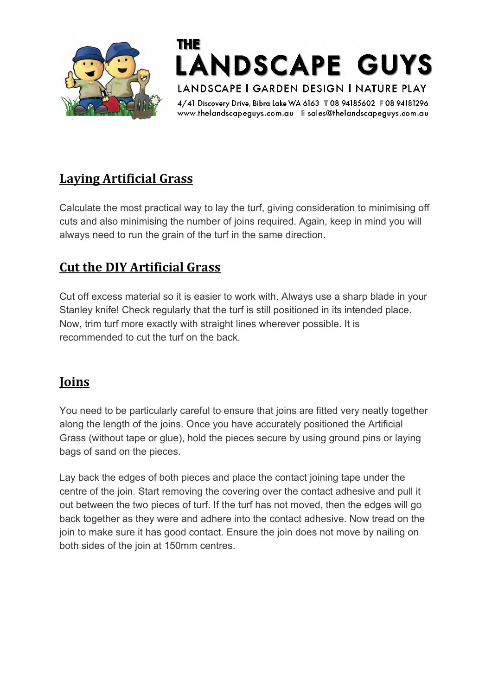



4/41 Discovery Drive, Bibra Lake WA 6163 T08 94185602 F08 94181296 

## **Laying Artificial Grass**

Calculate the most practical way to lay the turf, giving consideration to minimising off cuts and also minimising the number of joins required. Again, keep in mind you will always need to run the grain of the turf in the same direction.

#### **Cut the DIY Artificial Grass**

Cut off excess material so it is easier to work with. Always use a sharp blade in your Stanley knife! Check regularly that the turf is still positioned in its intended place. Now, trim turf more exactly with straight lines wherever possible. It is recommended to cut the turf on the back.

## **Joins**

You need to be particularly careful to ensure that joins are fitted very neatly together along the length of the joins. Once you have accurately positioned the Artificial Grass (without tape or glue), hold the pieces secure by using ground pins or laying bags of sand on the pieces.

Lay back the edges of both pieces and place the contact joining tape under the centre of the join. Start removing the covering over the contact adhesive and pull it out between the two pieces of turf. If the turf has not moved, then the edges will go back together as they were and adhere into the contact adhesive. Now tread on the join to make sure it has good contact. Ensure the join does not move by nailing on both sides of the join at 150mm centres.